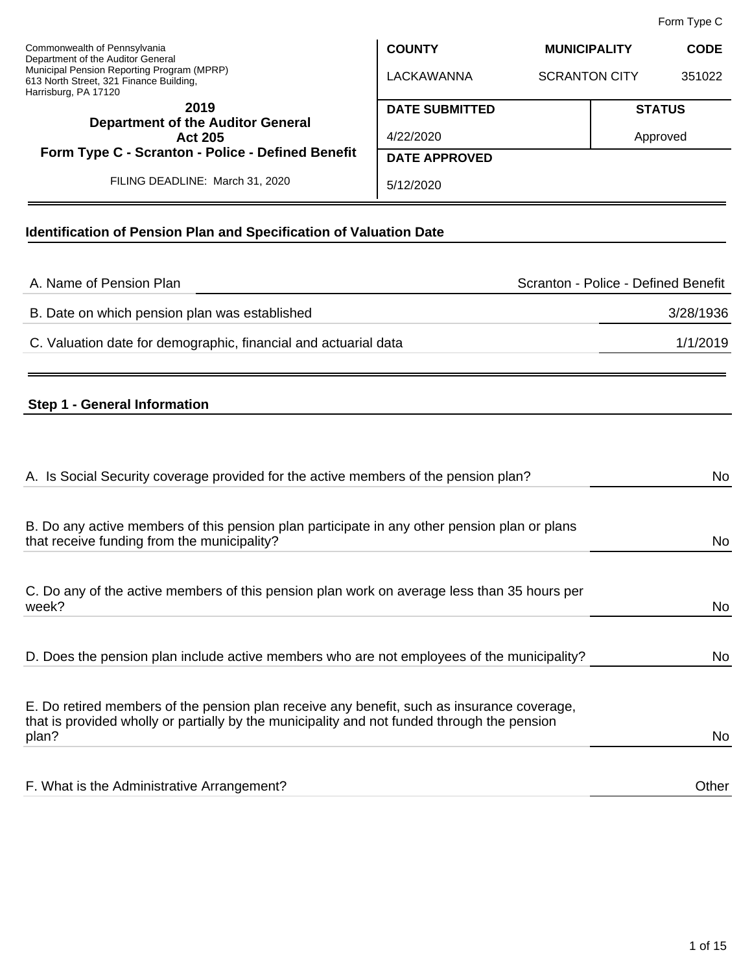Form Type C

| Commonwealth of Pennsylvania<br>Department of the Auditor General<br>Municipal Pension Reporting Program (MPRP)<br>613 North Street, 321 Finance Building,<br>Harrisburg, PA 17120 | <b>COUNTY</b>         | <b>MUNICIPALITY</b>  |               | <b>CODE</b> |
|------------------------------------------------------------------------------------------------------------------------------------------------------------------------------------|-----------------------|----------------------|---------------|-------------|
|                                                                                                                                                                                    | LACKAWANNA            | <b>SCRANTON CITY</b> |               | 351022      |
| 2019<br><b>Department of the Auditor General</b><br>Act 205                                                                                                                        | <b>DATE SUBMITTED</b> |                      | <b>STATUS</b> |             |
|                                                                                                                                                                                    | 4/22/2020             |                      | Approved      |             |
| Form Type C - Scranton - Police - Defined Benefit                                                                                                                                  | <b>DATE APPROVED</b>  |                      |               |             |
| FILING DEADLINE: March 31, 2020                                                                                                                                                    | 5/12/2020             |                      |               |             |

# **Identification of Pension Plan and Specification of Valuation Date**

| A. Name of Pension Plan                                         | Scranton - Police - Defined Benefit |
|-----------------------------------------------------------------|-------------------------------------|
| B. Date on which pension plan was established                   | 3/28/1936                           |
| C. Valuation date for demographic, financial and actuarial data | 1/1/2019                            |
|                                                                 |                                     |

# **Step 1 - General Information**

| A. Is Social Security coverage provided for the active members of the pension plan?                                                                                                                | No    |
|----------------------------------------------------------------------------------------------------------------------------------------------------------------------------------------------------|-------|
| B. Do any active members of this pension plan participate in any other pension plan or plans<br>that receive funding from the municipality?                                                        | No    |
| C. Do any of the active members of this pension plan work on average less than 35 hours per<br>week?                                                                                               | No    |
| D. Does the pension plan include active members who are not employees of the municipality?                                                                                                         | No    |
| E. Do retired members of the pension plan receive any benefit, such as insurance coverage,<br>that is provided wholly or partially by the municipality and not funded through the pension<br>plan? | No    |
| F. What is the Administrative Arrangement?                                                                                                                                                         | Other |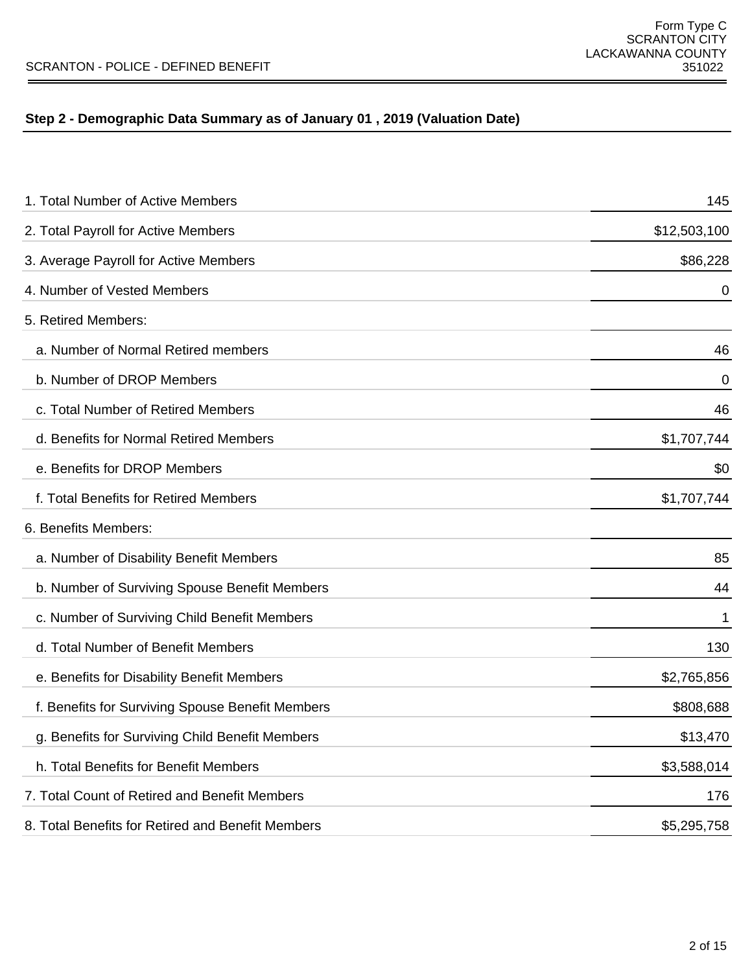# **Step 2 - Demographic Data Summary as of January 01 , 2019 (Valuation Date)**

| 1. Total Number of Active Members                 | 145          |
|---------------------------------------------------|--------------|
| 2. Total Payroll for Active Members               | \$12,503,100 |
| 3. Average Payroll for Active Members             | \$86,228     |
| 4. Number of Vested Members                       | 0            |
| 5. Retired Members:                               |              |
| a. Number of Normal Retired members               | 46           |
| b. Number of DROP Members                         | 0            |
| c. Total Number of Retired Members                | 46           |
| d. Benefits for Normal Retired Members            | \$1,707,744  |
| e. Benefits for DROP Members                      | \$0          |
| f. Total Benefits for Retired Members             | \$1,707,744  |
| 6. Benefits Members:                              |              |
| a. Number of Disability Benefit Members           | 85           |
| b. Number of Surviving Spouse Benefit Members     | 44           |
| c. Number of Surviving Child Benefit Members      | 1            |
| d. Total Number of Benefit Members                | 130          |
| e. Benefits for Disability Benefit Members        | \$2,765,856  |
| f. Benefits for Surviving Spouse Benefit Members  | \$808,688    |
| g. Benefits for Surviving Child Benefit Members   | \$13,470     |
| h. Total Benefits for Benefit Members             | \$3,588,014  |
| 7. Total Count of Retired and Benefit Members     | 176          |
| 8. Total Benefits for Retired and Benefit Members | \$5,295,758  |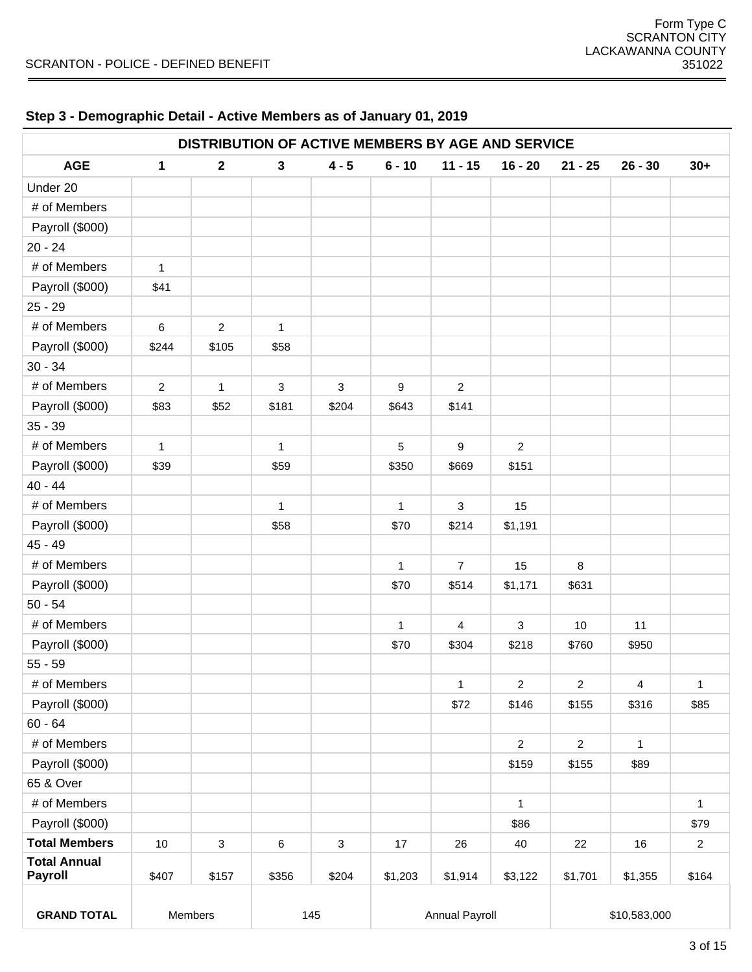| DISTRIBUTION OF ACTIVE MEMBERS BY AGE AND SERVICE |                |              |              |         |              |                       |                |                |                         |                |
|---------------------------------------------------|----------------|--------------|--------------|---------|--------------|-----------------------|----------------|----------------|-------------------------|----------------|
| <b>AGE</b>                                        | $\mathbf{1}$   | $\mathbf{2}$ | 3            | $4 - 5$ | $6 - 10$     | $11 - 15$             | $16 - 20$      | $21 - 25$      | $26 - 30$               | $30+$          |
| Under 20                                          |                |              |              |         |              |                       |                |                |                         |                |
| # of Members                                      |                |              |              |         |              |                       |                |                |                         |                |
| Payroll (\$000)                                   |                |              |              |         |              |                       |                |                |                         |                |
| $20 - 24$                                         |                |              |              |         |              |                       |                |                |                         |                |
| # of Members                                      | $\mathbf{1}$   |              |              |         |              |                       |                |                |                         |                |
| Payroll (\$000)                                   | \$41           |              |              |         |              |                       |                |                |                         |                |
| $25 - 29$                                         |                |              |              |         |              |                       |                |                |                         |                |
| # of Members                                      | 6              | 2            | $\mathbf{1}$ |         |              |                       |                |                |                         |                |
| Payroll (\$000)                                   | \$244          | \$105        | \$58         |         |              |                       |                |                |                         |                |
| $30 - 34$                                         |                |              |              |         |              |                       |                |                |                         |                |
| # of Members                                      | $\overline{2}$ | $\mathbf{1}$ | 3            | 3       | 9            | $\overline{2}$        |                |                |                         |                |
| Payroll (\$000)                                   | \$83           | \$52         | \$181        | \$204   | \$643        | \$141                 |                |                |                         |                |
| $35 - 39$                                         |                |              |              |         |              |                       |                |                |                         |                |
| # of Members                                      | $\mathbf{1}$   |              | 1            |         | 5            | 9                     | $\overline{c}$ |                |                         |                |
| Payroll (\$000)                                   | \$39           |              | \$59         |         | \$350        | \$669                 | \$151          |                |                         |                |
| $40 - 44$                                         |                |              |              |         |              |                       |                |                |                         |                |
| # of Members                                      |                |              | 1            |         | $\mathbf{1}$ | 3                     | 15             |                |                         |                |
| Payroll (\$000)                                   |                |              | \$58         |         | \$70         | \$214                 | \$1,191        |                |                         |                |
| $45 - 49$                                         |                |              |              |         |              |                       |                |                |                         |                |
| # of Members                                      |                |              |              |         | $\mathbf{1}$ | $\overline{7}$        | 15             | 8              |                         |                |
| Payroll (\$000)                                   |                |              |              |         | \$70         | \$514                 | \$1,171        | \$631          |                         |                |
| $50 - 54$                                         |                |              |              |         |              |                       |                |                |                         |                |
| # of Members                                      |                |              |              |         | $\mathbf{1}$ | 4                     | 3              | 10             | 11                      |                |
| Payroll (\$000)                                   |                |              |              |         | \$70         | \$304                 | \$218          | \$760          | \$950                   |                |
| $55 - 59$                                         |                |              |              |         |              |                       |                |                |                         |                |
| # of Members                                      |                |              |              |         |              | $\mathbf{1}$          | $\overline{2}$ | $\mathbf 2$    | $\overline{\mathbf{4}}$ | $\mathbf{1}$   |
| Payroll (\$000)                                   |                |              |              |         |              | \$72                  | \$146          | \$155          | \$316                   | \$85           |
| $60 - 64$                                         |                |              |              |         |              |                       |                |                |                         |                |
| # of Members                                      |                |              |              |         |              |                       | $\overline{2}$ | $\overline{2}$ | $\mathbf{1}$            |                |
| Payroll (\$000)                                   |                |              |              |         |              |                       | \$159          | \$155          | \$89                    |                |
| 65 & Over                                         |                |              |              |         |              |                       |                |                |                         |                |
| # of Members                                      |                |              |              |         |              |                       | $\mathbf{1}$   |                |                         | $\mathbf{1}$   |
| Payroll (\$000)                                   |                |              |              |         |              |                       | \$86           |                |                         | \$79           |
| <b>Total Members</b>                              | 10             | $\mathsf 3$  | 6            | 3       | 17           | 26                    | 40             | 22             | 16                      | $\overline{c}$ |
| <b>Total Annual</b><br><b>Payroll</b>             | \$407          | \$157        | \$356        | \$204   | \$1,203      | \$1,914               | \$3,122        | \$1,701        | \$1,355                 | \$164          |
| <b>GRAND TOTAL</b>                                |                | Members      |              | 145     |              | <b>Annual Payroll</b> |                |                | \$10,583,000            |                |

# **Step 3 - Demographic Detail - Active Members as of January 01, 2019**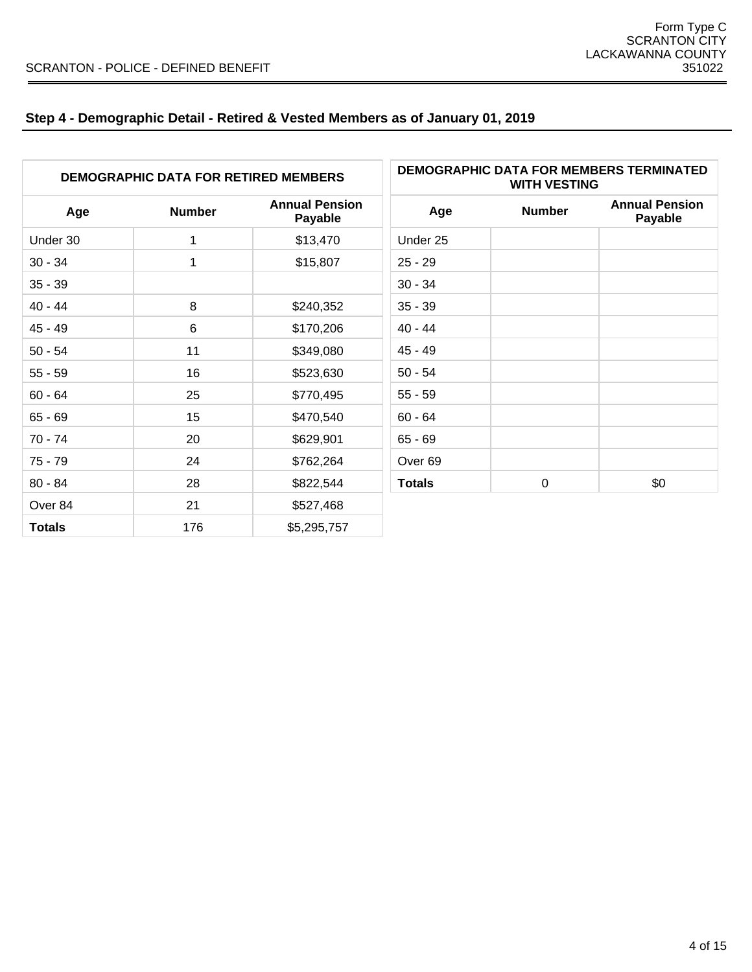# **Step 4 - Demographic Detail - Retired & Vested Members as of January 01, 2019**

| <b>DEMOGRAPHIC DATA FOR RETIRED MEMBERS</b> |               |                                  | <b>WITH VESTING</b> | DEMOGRAPHIC DATA FOR MEMBERS TERMINATED |                                  |
|---------------------------------------------|---------------|----------------------------------|---------------------|-----------------------------------------|----------------------------------|
| Age                                         | <b>Number</b> | <b>Annual Pension</b><br>Payable | Age                 | <b>Number</b>                           | <b>Annual Pension</b><br>Payable |
| Under 30                                    | 1             | \$13,470                         | Under 25            |                                         |                                  |
| $30 - 34$                                   | 1             | \$15,807                         | $25 - 29$           |                                         |                                  |
| $35 - 39$                                   |               |                                  | $30 - 34$           |                                         |                                  |
| $40 - 44$                                   | 8             | \$240,352                        | $35 - 39$           |                                         |                                  |
| $45 - 49$                                   | $\,6\,$       | \$170,206                        | $40 - 44$           |                                         |                                  |
| $50 - 54$                                   | 11            | \$349,080                        | $45 - 49$           |                                         |                                  |
| $55 - 59$                                   | 16            | \$523,630                        | $50 - 54$           |                                         |                                  |
| $60 - 64$                                   | 25            | \$770,495                        | $55 - 59$           |                                         |                                  |
| $65 - 69$                                   | 15            | \$470,540                        | $60 - 64$           |                                         |                                  |
| $70 - 74$                                   | 20            | \$629,901                        | $65 - 69$           |                                         |                                  |
| $75 - 79$                                   | 24            | \$762,264                        | Over <sub>69</sub>  |                                         |                                  |
| $80 - 84$                                   | 28            | \$822,544                        | <b>Totals</b>       | $\pmb{0}$                               | \$0                              |
| Over 84                                     | 21            | \$527,468                        |                     |                                         |                                  |
| <b>Totals</b>                               | 176           | \$5,295,757                      |                     |                                         |                                  |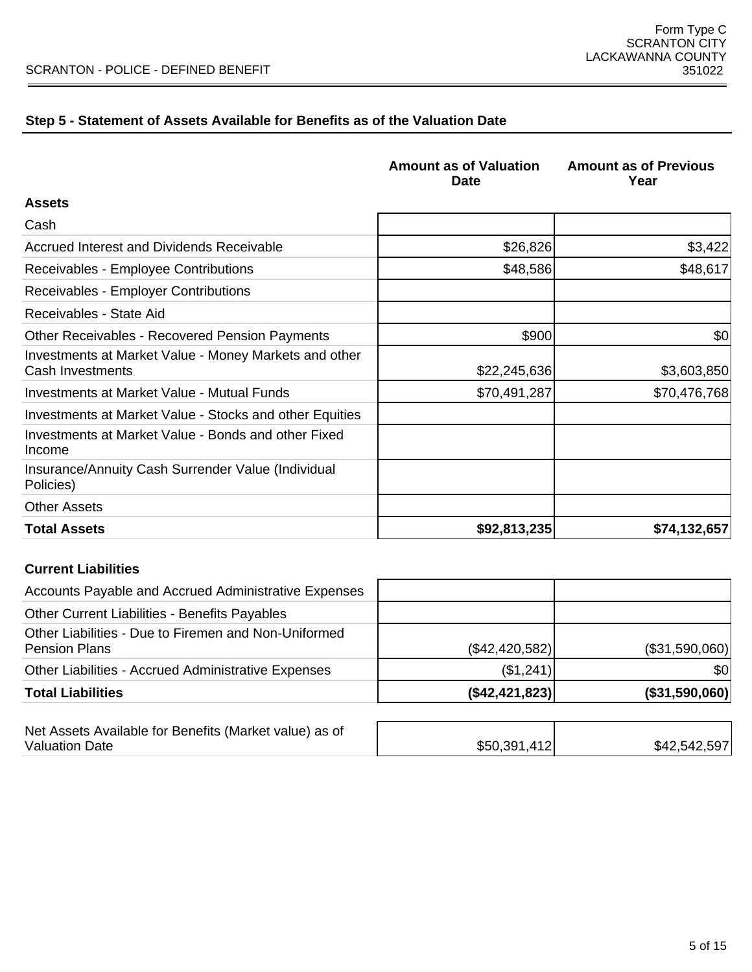# **Step 5 - Statement of Assets Available for Benefits as of the Valuation Date**

|                                                                           | <b>Amount as of Valuation</b><br><b>Date</b> | <b>Amount as of Previous</b><br>Year |
|---------------------------------------------------------------------------|----------------------------------------------|--------------------------------------|
| <b>Assets</b>                                                             |                                              |                                      |
| Cash                                                                      |                                              |                                      |
| Accrued Interest and Dividends Receivable                                 | \$26,826                                     | \$3,422                              |
| Receivables - Employee Contributions                                      | \$48,586                                     | \$48,617                             |
| Receivables - Employer Contributions                                      |                                              |                                      |
| Receivables - State Aid                                                   |                                              |                                      |
| <b>Other Receivables - Recovered Pension Payments</b>                     | \$900                                        | \$0                                  |
| Investments at Market Value - Money Markets and other<br>Cash Investments | \$22,245,636                                 | \$3,603,850                          |
| Investments at Market Value - Mutual Funds                                | \$70,491,287                                 | \$70,476,768                         |
| Investments at Market Value - Stocks and other Equities                   |                                              |                                      |
| Investments at Market Value - Bonds and other Fixed<br>Income             |                                              |                                      |
| Insurance/Annuity Cash Surrender Value (Individual<br>Policies)           |                                              |                                      |
| <b>Other Assets</b>                                                       |                                              |                                      |
| <b>Total Assets</b>                                                       | \$92,813,235                                 | \$74,132,657                         |

### **Current Liabilities**

| <b>Total Liabilities</b>                                                     | ( \$42,421,823] | $($ \$31,590,060) $ $ |
|------------------------------------------------------------------------------|-----------------|-----------------------|
| Other Liabilities - Accrued Administrative Expenses                          | (\$1,241)       | 30                    |
| Other Liabilities - Due to Firemen and Non-Uniformed<br><b>Pension Plans</b> | (\$42,420,582)  | (\$31,590,060)        |
| <b>Other Current Liabilities - Benefits Payables</b>                         |                 |                       |
| Accounts Payable and Accrued Administrative Expenses                         |                 |                       |

| Net Assets Available for Benefits (Market value) as of |              |              |
|--------------------------------------------------------|--------------|--------------|
| <b>Valuation Date</b>                                  | \$50,391,412 | \$42,542,597 |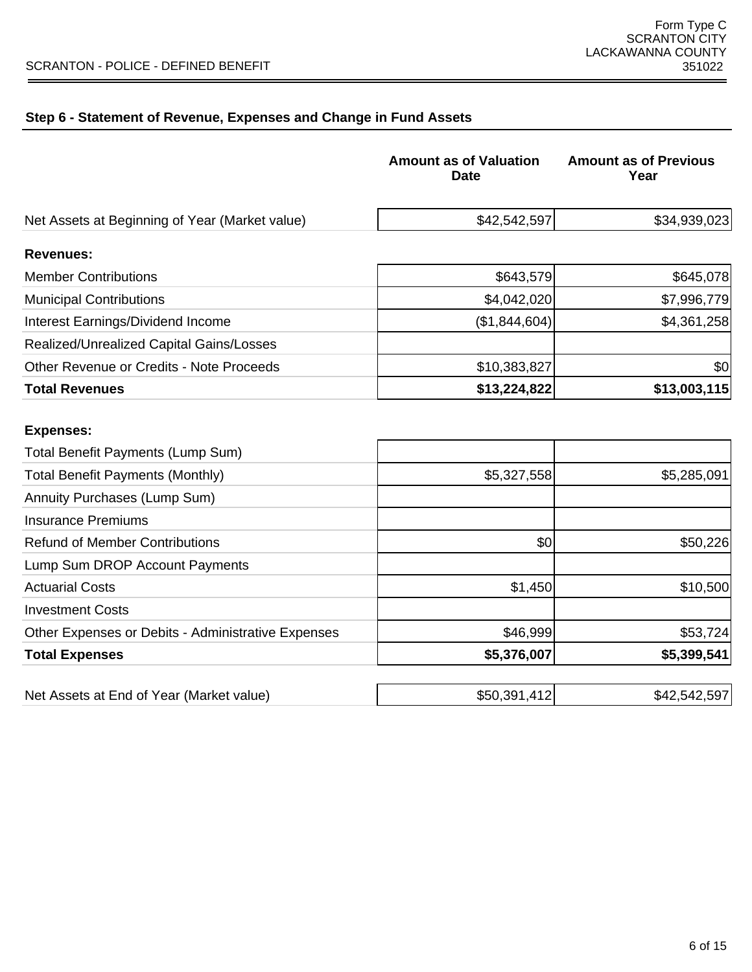$\overline{\phantom{0}}$ 

# **Step 6 - Statement of Revenue, Expenses and Change in Fund Assets**

|                                                 | <b>Amount as of Valuation</b><br><b>Date</b> | <b>Amount as of Previous</b><br>Year |
|-------------------------------------------------|----------------------------------------------|--------------------------------------|
| Net Assets at Beginning of Year (Market value)  | \$42,542,597                                 | \$34,939,023                         |
| <b>Revenues:</b>                                |                                              |                                      |
| <b>Member Contributions</b>                     | \$643,579                                    | \$645,078                            |
| <b>Municipal Contributions</b>                  | \$4,042,020                                  | \$7,996,779                          |
| Interest Earnings/Dividend Income               | (\$1,844,604)                                | \$4,361,258                          |
| Realized/Unrealized Capital Gains/Losses        |                                              |                                      |
| <b>Other Revenue or Credits - Note Proceeds</b> | \$10,383,827                                 | \$0                                  |
| <b>Total Revenues</b>                           | \$13,224,822                                 | \$13,003,115                         |
| <b>Expenses:</b>                                |                                              |                                      |
| Total Benefit Payments (Lump Sum)               |                                              |                                      |
| <b>Total Benefit Payments (Monthly)</b>         | \$5,327,558                                  | \$5,285,091                          |
| Annuity Purchases (Lump Sum)                    |                                              |                                      |
|                                                 |                                              |                                      |

| <b>Insurance Premiums</b>                          |               |              |
|----------------------------------------------------|---------------|--------------|
| <b>Refund of Member Contributions</b>              | \$0           | \$50,226     |
| Lump Sum DROP Account Payments                     |               |              |
| <b>Actuarial Costs</b>                             | \$1,450       | \$10,500     |
| <b>Investment Costs</b>                            |               |              |
| Other Expenses or Debits - Administrative Expenses | \$46,999      | \$53,724     |
| <b>Total Expenses</b>                              | \$5,376,007   | \$5,399,541  |
|                                                    |               |              |
| Net Assets at End of Year (Market value)           | \$50,391,412] | \$42,542,597 |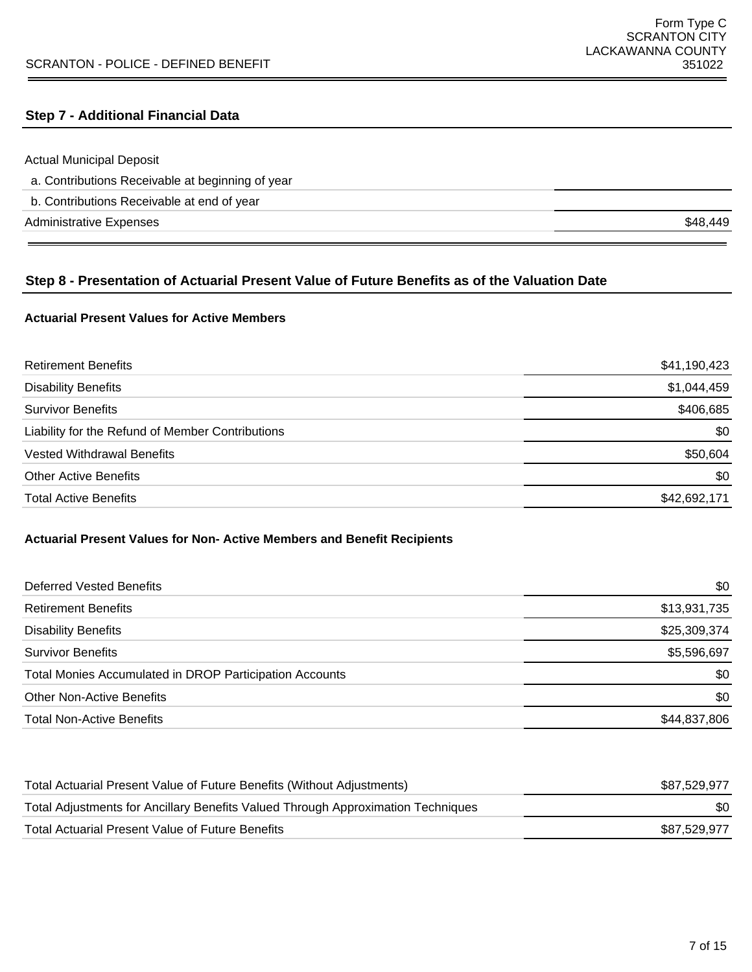#### **Step 7 - Additional Financial Data**

Actual Municipal Deposit

| a. Contributions Receivable at beginning of year |  |  |  |
|--------------------------------------------------|--|--|--|
|--------------------------------------------------|--|--|--|

b. Contributions Receivable at end of year

Administrative Expenses \$48,449

### **Step 8 - Presentation of Actuarial Present Value of Future Benefits as of the Valuation Date**

#### **Actuarial Present Values for Active Members**

| <b>Retirement Benefits</b>                       | \$41,190,423 |
|--------------------------------------------------|--------------|
| <b>Disability Benefits</b>                       | \$1,044,459  |
| <b>Survivor Benefits</b>                         | \$406,685    |
| Liability for the Refund of Member Contributions | \$0          |
| <b>Vested Withdrawal Benefits</b>                | \$50,604     |
| <b>Other Active Benefits</b>                     | \$0          |
| <b>Total Active Benefits</b>                     | \$42,692,171 |

#### **Actuarial Present Values for Non- Active Members and Benefit Recipients**

| Deferred Vested Benefits                                | \$0          |
|---------------------------------------------------------|--------------|
| <b>Retirement Benefits</b>                              | \$13,931,735 |
| <b>Disability Benefits</b>                              | \$25,309,374 |
| <b>Survivor Benefits</b>                                | \$5,596,697  |
| Total Monies Accumulated in DROP Participation Accounts | \$0          |
| <b>Other Non-Active Benefits</b>                        | \$0          |
| <b>Total Non-Active Benefits</b>                        | \$44,837,806 |

| Total Actuarial Present Value of Future Benefits (Without Adjustments)           | \$87,529,977 |
|----------------------------------------------------------------------------------|--------------|
| Total Adjustments for Ancillary Benefits Valued Through Approximation Techniques | \$0          |
| Total Actuarial Present Value of Future Benefits                                 | \$87,529,977 |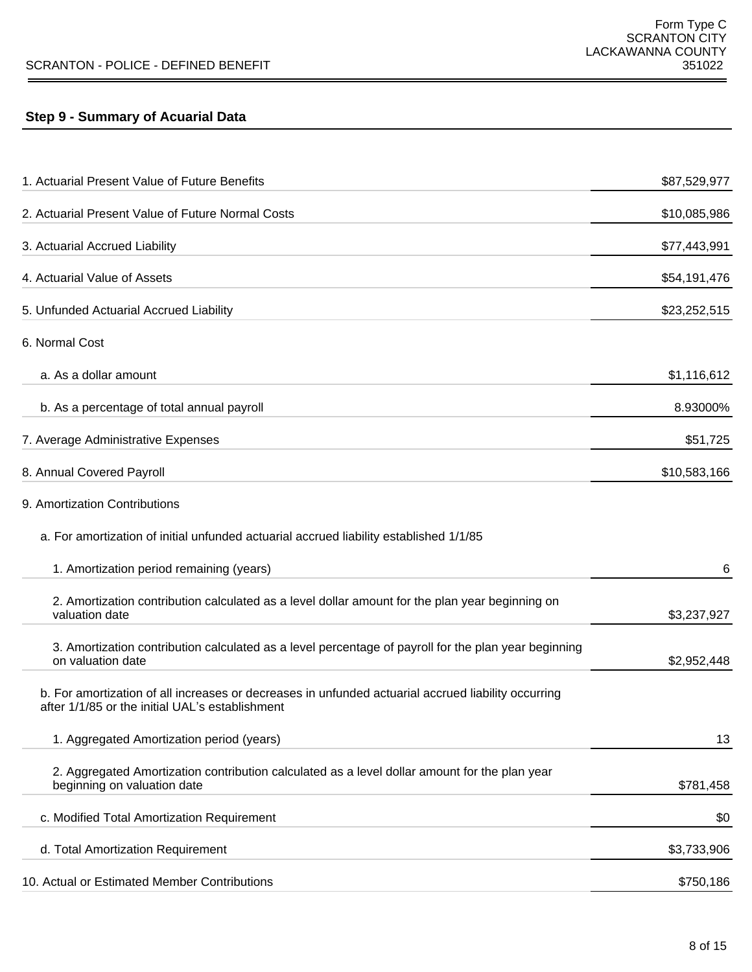$\equiv$ 

# **Step 9 - Summary of Acuarial Data**

÷

| 1. Actuarial Present Value of Future Benefits                                                                                                          | \$87,529,977 |
|--------------------------------------------------------------------------------------------------------------------------------------------------------|--------------|
| 2. Actuarial Present Value of Future Normal Costs                                                                                                      | \$10,085,986 |
| 3. Actuarial Accrued Liability                                                                                                                         | \$77,443,991 |
| 4. Actuarial Value of Assets                                                                                                                           | \$54,191,476 |
| 5. Unfunded Actuarial Accrued Liability                                                                                                                | \$23,252,515 |
| 6. Normal Cost                                                                                                                                         |              |
| a. As a dollar amount                                                                                                                                  | \$1,116,612  |
| b. As a percentage of total annual payroll                                                                                                             | 8.93000%     |
| 7. Average Administrative Expenses                                                                                                                     | \$51,725     |
| 8. Annual Covered Payroll                                                                                                                              | \$10,583,166 |
| 9. Amortization Contributions                                                                                                                          |              |
| a. For amortization of initial unfunded actuarial accrued liability established 1/1/85                                                                 |              |
| 1. Amortization period remaining (years)                                                                                                               | 6            |
| 2. Amortization contribution calculated as a level dollar amount for the plan year beginning on<br>valuation date                                      | \$3,237,927  |
| 3. Amortization contribution calculated as a level percentage of payroll for the plan year beginning<br>on valuation date                              | \$2,952,448  |
| b. For amortization of all increases or decreases in unfunded actuarial accrued liability occurring<br>after 1/1/85 or the initial UAL's establishment |              |
| 1. Aggregated Amortization period (years)                                                                                                              | 13           |
| 2. Aggregated Amortization contribution calculated as a level dollar amount for the plan year<br>beginning on valuation date                           | \$781,458    |
| c. Modified Total Amortization Requirement                                                                                                             | \$0          |
| d. Total Amortization Requirement                                                                                                                      | \$3,733,906  |
| 10. Actual or Estimated Member Contributions                                                                                                           | \$750,186    |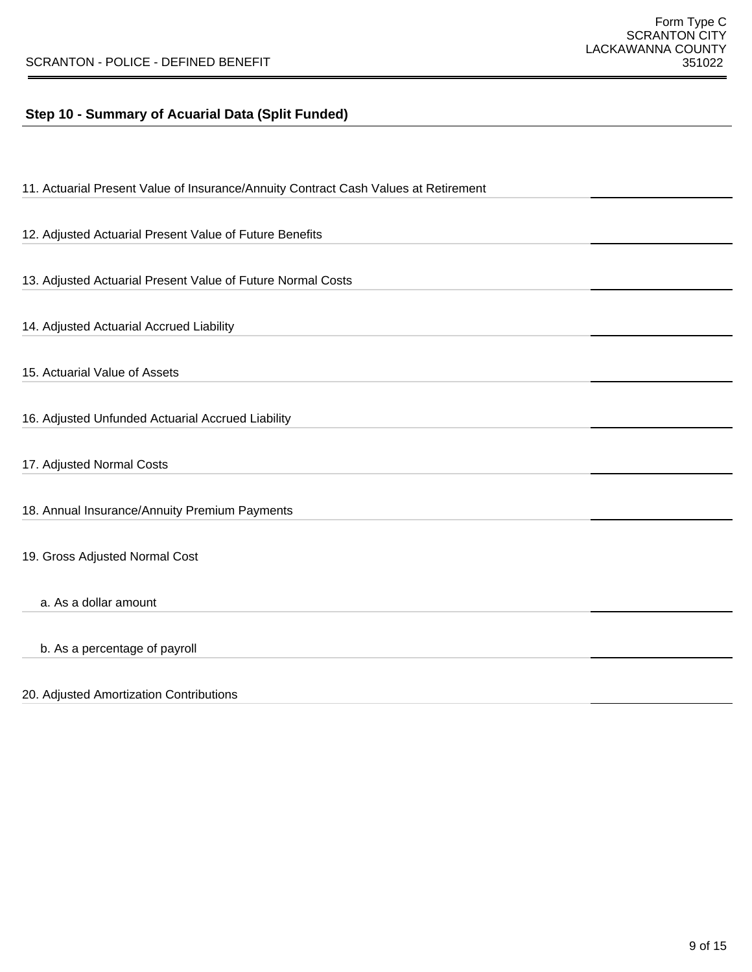### **Step 10 - Summary of Acuarial Data (Split Funded)**

| 11. Actuarial Present Value of Insurance/Annuity Contract Cash Values at Retirement |  |
|-------------------------------------------------------------------------------------|--|
|                                                                                     |  |
| 12. Adjusted Actuarial Present Value of Future Benefits                             |  |
|                                                                                     |  |
| 13. Adjusted Actuarial Present Value of Future Normal Costs                         |  |
|                                                                                     |  |
| 14. Adjusted Actuarial Accrued Liability                                            |  |
|                                                                                     |  |
| 15. Actuarial Value of Assets                                                       |  |
|                                                                                     |  |
| 16. Adjusted Unfunded Actuarial Accrued Liability                                   |  |
|                                                                                     |  |
|                                                                                     |  |
| 17. Adjusted Normal Costs                                                           |  |
|                                                                                     |  |
| 18. Annual Insurance/Annuity Premium Payments                                       |  |
|                                                                                     |  |
|                                                                                     |  |
| 19. Gross Adjusted Normal Cost                                                      |  |
|                                                                                     |  |
| a. As a dollar amount                                                               |  |
|                                                                                     |  |
| b. As a percentage of payroll                                                       |  |
|                                                                                     |  |
|                                                                                     |  |

#### 20. Adjusted Amortization Contributions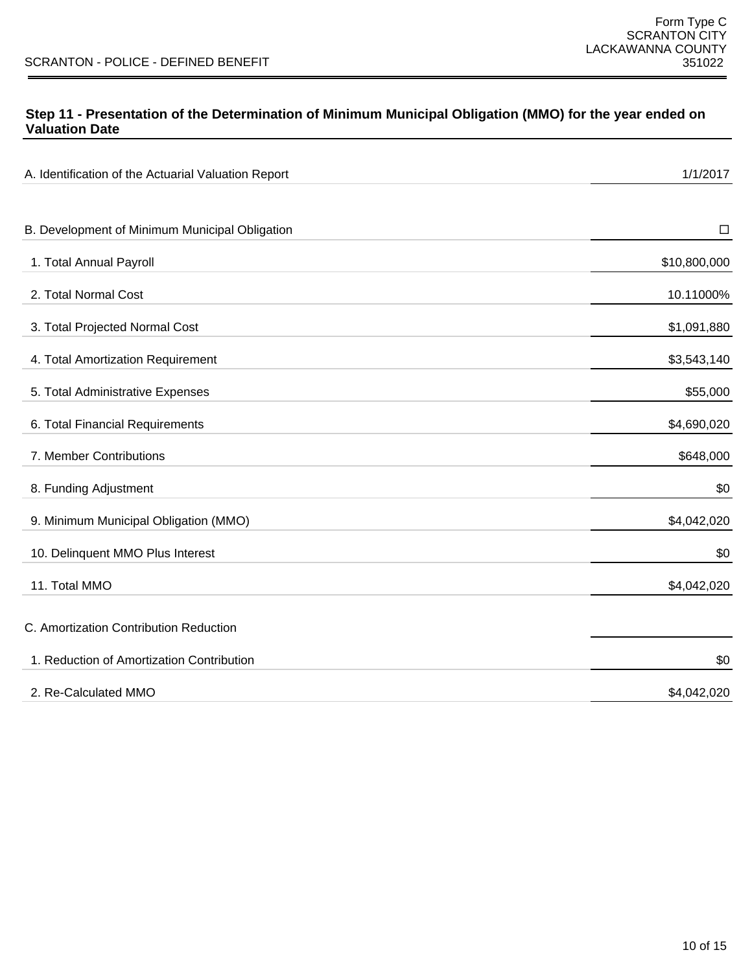### **Step 11 - Presentation of the Determination of Minimum Municipal Obligation (MMO) for the year ended on Valuation Date**

| A. Identification of the Actuarial Valuation Report | 1/1/2017     |
|-----------------------------------------------------|--------------|
|                                                     |              |
| B. Development of Minimum Municipal Obligation      | $\Box$       |
| 1. Total Annual Payroll                             | \$10,800,000 |
| 2. Total Normal Cost                                | 10.11000%    |
| 3. Total Projected Normal Cost                      | \$1,091,880  |
| 4. Total Amortization Requirement                   | \$3,543,140  |
| 5. Total Administrative Expenses                    | \$55,000     |
| 6. Total Financial Requirements                     | \$4,690,020  |
| 7. Member Contributions                             | \$648,000    |
| 8. Funding Adjustment                               | \$0          |
| 9. Minimum Municipal Obligation (MMO)               | \$4,042,020  |
| 10. Delinquent MMO Plus Interest                    | \$0          |
| 11. Total MMO                                       | \$4,042,020  |
| C. Amortization Contribution Reduction              |              |
| 1. Reduction of Amortization Contribution           | \$0          |
| 2. Re-Calculated MMO                                | \$4,042,020  |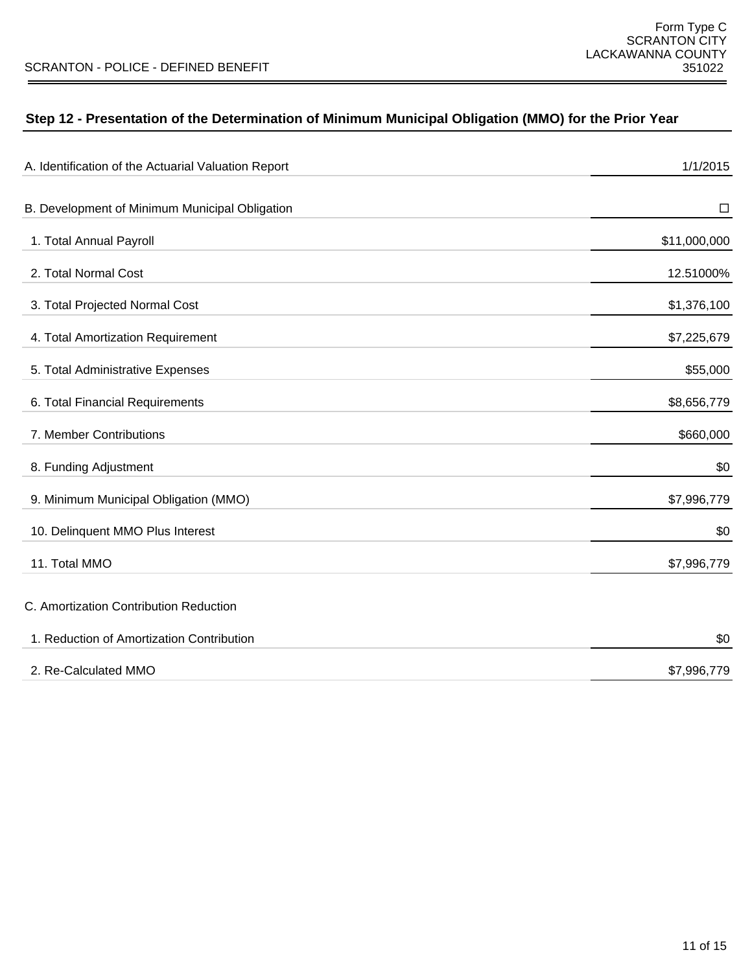# **Step 12 - Presentation of the Determination of Minimum Municipal Obligation (MMO) for the Prior Year**

| A. Identification of the Actuarial Valuation Report | 1/1/2015     |
|-----------------------------------------------------|--------------|
| B. Development of Minimum Municipal Obligation      | $\Box$       |
| 1. Total Annual Payroll                             | \$11,000,000 |
| 2. Total Normal Cost                                | 12.51000%    |
| 3. Total Projected Normal Cost                      | \$1,376,100  |
| 4. Total Amortization Requirement                   | \$7,225,679  |
| 5. Total Administrative Expenses                    | \$55,000     |
| 6. Total Financial Requirements                     | \$8,656,779  |
| 7. Member Contributions                             | \$660,000    |
| 8. Funding Adjustment                               | \$0          |
| 9. Minimum Municipal Obligation (MMO)               | \$7,996,779  |
| 10. Delinquent MMO Plus Interest                    | \$0          |
| 11. Total MMO                                       | \$7,996,779  |
| C. Amortization Contribution Reduction              |              |
| 1. Reduction of Amortization Contribution           | \$0          |
| 2. Re-Calculated MMO                                | \$7,996,779  |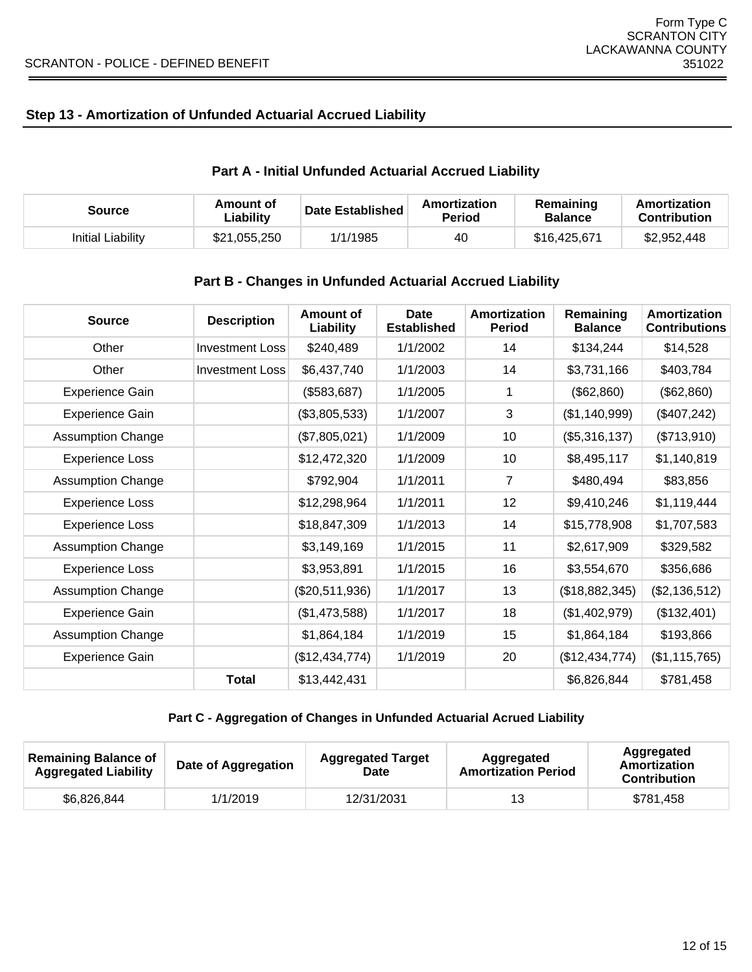### **Step 13 - Amortization of Unfunded Actuarial Accrued Liability**

# **Part A - Initial Unfunded Actuarial Accrued Liability**

| Source            | Amount of<br>∟iability | <b>Date Established</b> | Amortization<br>Period | Remaining<br><b>Balance</b> | Amortization<br><b>Contribution</b> |
|-------------------|------------------------|-------------------------|------------------------|-----------------------------|-------------------------------------|
| Initial Liability | \$21,055,250           | 1/1/1985                | 40                     | \$16,425,671                | \$2,952,448                         |

### **Part B - Changes in Unfunded Actuarial Accrued Liability**

| <b>Source</b>            | <b>Description</b>     | Amount of<br>Liability | <b>Date</b><br><b>Established</b> | Amortization<br><b>Period</b> | Remaining<br><b>Balance</b> | Amortization<br><b>Contributions</b> |
|--------------------------|------------------------|------------------------|-----------------------------------|-------------------------------|-----------------------------|--------------------------------------|
| Other                    | <b>Investment Loss</b> | \$240,489              | 1/1/2002                          | 14                            | \$134,244                   | \$14,528                             |
| Other                    | <b>Investment Loss</b> | \$6,437,740            | 1/1/2003                          | 14                            | \$3,731,166                 | \$403,784                            |
| <b>Experience Gain</b>   |                        | (\$583,687)            | 1/1/2005                          | 1                             | (\$62,860)                  | (\$62,860)                           |
| <b>Experience Gain</b>   |                        | (\$3,805,533)          | 1/1/2007                          | $\mathbf{3}$                  | (\$1,140,999)               | (\$407,242)                          |
| <b>Assumption Change</b> |                        | (\$7,805,021)          | 1/1/2009                          | 10                            | (\$5,316,137)               | (\$713,910)                          |
| <b>Experience Loss</b>   |                        | \$12,472,320           | 1/1/2009                          | 10                            | \$8,495,117                 | \$1,140,819                          |
| <b>Assumption Change</b> |                        | \$792,904              | 1/1/2011                          | $\overline{7}$                | \$480,494                   | \$83,856                             |
| <b>Experience Loss</b>   |                        | \$12,298,964           | 1/1/2011                          | 12 <sup>2</sup>               | \$9,410,246                 | \$1,119,444                          |
| <b>Experience Loss</b>   |                        | \$18,847,309           | 1/1/2013                          | 14                            | \$15,778,908                | \$1,707,583                          |
| <b>Assumption Change</b> |                        | \$3,149,169            | 1/1/2015                          | 11                            | \$2,617,909                 | \$329,582                            |
| <b>Experience Loss</b>   |                        | \$3,953,891            | 1/1/2015                          | 16                            | \$3,554,670                 | \$356,686                            |
| <b>Assumption Change</b> |                        | (\$20,511,936)         | 1/1/2017                          | 13                            | (\$18,882,345)              | (\$2,136,512)                        |
| <b>Experience Gain</b>   |                        | (\$1,473,588)          | 1/1/2017                          | 18                            | (\$1,402,979)               | (\$132,401)                          |
| <b>Assumption Change</b> |                        | \$1,864,184            | 1/1/2019                          | 15                            | \$1,864,184                 | \$193,866                            |
| Experience Gain          |                        | (\$12,434,774)         | 1/1/2019                          | 20                            | (\$12,434,774)              | (\$1,115,765)                        |
|                          | <b>Total</b>           | \$13,442,431           |                                   |                               | \$6,826,844                 | \$781,458                            |

### **Part C - Aggregation of Changes in Unfunded Actuarial Acrued Liability**

| <b>Remaining Balance of</b><br><b>Aggregated Liability</b> | Date of Aggregation | <b>Aggregated Target</b><br><b>Date</b> | Aggregated<br><b>Amortization Period</b> | Aggregated<br>Amortization<br><b>Contribution</b> |
|------------------------------------------------------------|---------------------|-----------------------------------------|------------------------------------------|---------------------------------------------------|
| \$6,826,844                                                | 1/1/2019            | 12/31/2031                              | 13                                       | \$781.458                                         |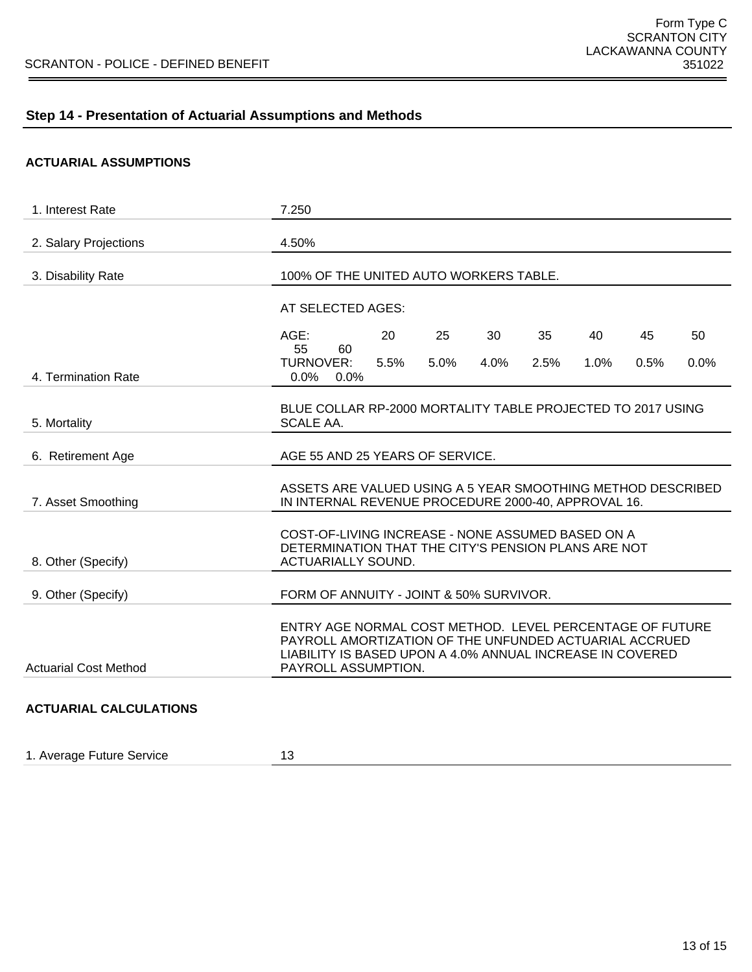# **Step 14 - Presentation of Actuarial Assumptions and Methods**

#### **ACTUARIAL ASSUMPTIONS**

| 1. Interest Rate              | 7.250                                                                                                                                                                                                  |  |  |  |  |
|-------------------------------|--------------------------------------------------------------------------------------------------------------------------------------------------------------------------------------------------------|--|--|--|--|
| 2. Salary Projections         | 4.50%                                                                                                                                                                                                  |  |  |  |  |
| 3. Disability Rate            | 100% OF THE UNITED AUTO WORKERS TABLE.                                                                                                                                                                 |  |  |  |  |
|                               | AT SELECTED AGES:                                                                                                                                                                                      |  |  |  |  |
|                               | AGE:<br>20<br>25<br>30<br>35<br>40<br>45<br>50<br>55<br>60                                                                                                                                             |  |  |  |  |
| 4. Termination Rate           | <b>TURNOVER:</b><br>0.0%<br>5.5%<br>5.0%<br>4.0%<br>2.5%<br>1.0%<br>0.5%<br>0.0%<br>$0.0\%$                                                                                                            |  |  |  |  |
| 5. Mortality                  | BLUE COLLAR RP-2000 MORTALITY TABLE PROJECTED TO 2017 USING<br>SCALE AA.                                                                                                                               |  |  |  |  |
| 6. Retirement Age             | AGE 55 AND 25 YEARS OF SERVICE.                                                                                                                                                                        |  |  |  |  |
| 7. Asset Smoothing            | ASSETS ARE VALUED USING A 5 YEAR SMOOTHING METHOD DESCRIBED<br>IN INTERNAL REVENUE PROCEDURE 2000-40, APPROVAL 16.                                                                                     |  |  |  |  |
| 8. Other (Specify)            | COST-OF-LIVING INCREASE - NONE ASSUMED BASED ON A<br>DETERMINATION THAT THE CITY'S PENSION PLANS ARE NOT<br><b>ACTUARIALLY SOUND.</b>                                                                  |  |  |  |  |
| 9. Other (Specify)            | FORM OF ANNUITY - JOINT & 50% SURVIVOR.                                                                                                                                                                |  |  |  |  |
| <b>Actuarial Cost Method</b>  | ENTRY AGE NORMAL COST METHOD. LEVEL PERCENTAGE OF FUTURE<br>PAYROLL AMORTIZATION OF THE UNFUNDED ACTUARIAL ACCRUED<br>LIABILITY IS BASED UPON A 4.0% ANNUAL INCREASE IN COVERED<br>PAYROLL ASSUMPTION. |  |  |  |  |
| <b>ACTUARIAL CALCULATIONS</b> |                                                                                                                                                                                                        |  |  |  |  |

1. Average Future Service **13**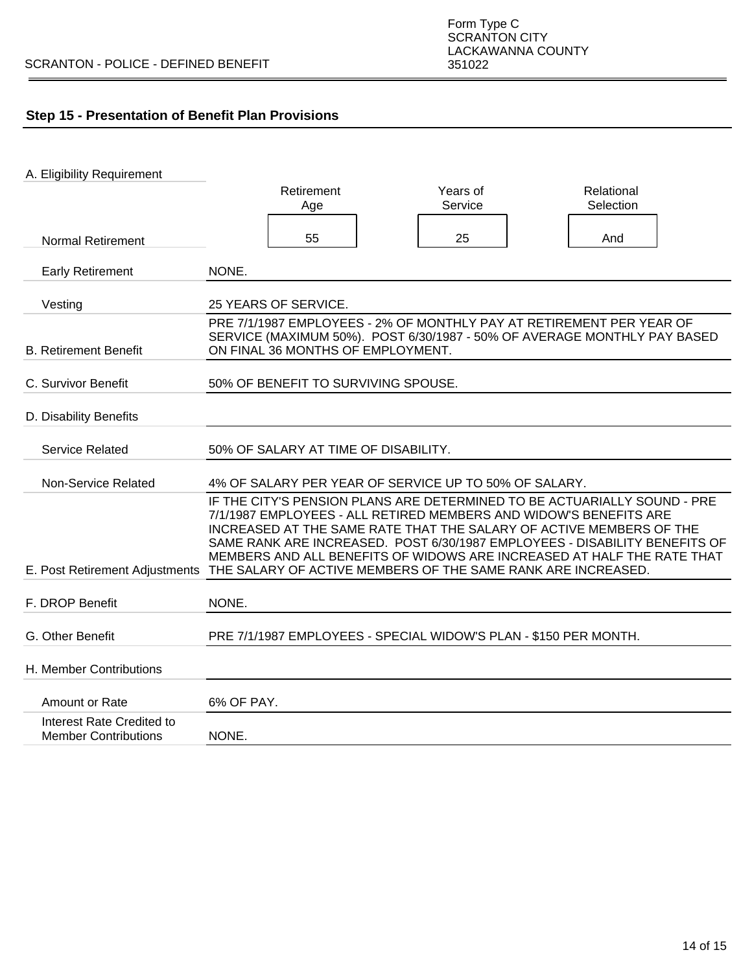# **Step 15 - Presentation of Benefit Plan Provisions**

| A. Eligibility Requirement                               |                                                                                                                                                                                                                                                                                                                     |                     |                                                                                                                                                      |
|----------------------------------------------------------|---------------------------------------------------------------------------------------------------------------------------------------------------------------------------------------------------------------------------------------------------------------------------------------------------------------------|---------------------|------------------------------------------------------------------------------------------------------------------------------------------------------|
|                                                          | Retirement<br>Age                                                                                                                                                                                                                                                                                                   | Years of<br>Service | Relational<br>Selection                                                                                                                              |
|                                                          |                                                                                                                                                                                                                                                                                                                     |                     |                                                                                                                                                      |
| <b>Normal Retirement</b>                                 | 55                                                                                                                                                                                                                                                                                                                  | 25                  | And                                                                                                                                                  |
|                                                          |                                                                                                                                                                                                                                                                                                                     |                     |                                                                                                                                                      |
| <b>Early Retirement</b>                                  | NONE.                                                                                                                                                                                                                                                                                                               |                     |                                                                                                                                                      |
|                                                          |                                                                                                                                                                                                                                                                                                                     |                     |                                                                                                                                                      |
| Vesting                                                  | 25 YEARS OF SERVICE.<br>PRE 7/1/1987 EMPLOYEES - 2% OF MONTHLY PAY AT RETIREMENT PER YEAR OF                                                                                                                                                                                                                        |                     |                                                                                                                                                      |
|                                                          | SERVICE (MAXIMUM 50%). POST 6/30/1987 - 50% OF AVERAGE MONTHLY PAY BASED                                                                                                                                                                                                                                            |                     |                                                                                                                                                      |
| <b>B. Retirement Benefit</b>                             | ON FINAL 36 MONTHS OF EMPLOYMENT.                                                                                                                                                                                                                                                                                   |                     |                                                                                                                                                      |
|                                                          |                                                                                                                                                                                                                                                                                                                     |                     |                                                                                                                                                      |
| C. Survivor Benefit                                      | 50% OF BENEFIT TO SURVIVING SPOUSE.                                                                                                                                                                                                                                                                                 |                     |                                                                                                                                                      |
| D. Disability Benefits                                   |                                                                                                                                                                                                                                                                                                                     |                     |                                                                                                                                                      |
| <b>Service Related</b>                                   | 50% OF SALARY AT TIME OF DISABILITY.                                                                                                                                                                                                                                                                                |                     |                                                                                                                                                      |
| Non-Service Related                                      | 4% OF SALARY PER YEAR OF SERVICE UP TO 50% OF SALARY.                                                                                                                                                                                                                                                               |                     |                                                                                                                                                      |
|                                                          | IF THE CITY'S PENSION PLANS ARE DETERMINED TO BE ACTUARIALLY SOUND - PRE<br>7/1/1987 EMPLOYEES - ALL RETIRED MEMBERS AND WIDOW'S BENEFITS ARE<br>INCREASED AT THE SAME RATE THAT THE SALARY OF ACTIVE MEMBERS OF THE<br>E. Post Retirement Adjustments THE SALARY OF ACTIVE MEMBERS OF THE SAME RANK ARE INCREASED. |                     | SAME RANK ARE INCREASED. POST 6/30/1987 EMPLOYEES - DISABILITY BENEFITS OF<br>MEMBERS AND ALL BENEFITS OF WIDOWS ARE INCREASED AT HALF THE RATE THAT |
|                                                          |                                                                                                                                                                                                                                                                                                                     |                     |                                                                                                                                                      |
| F. DROP Benefit                                          | NONE.                                                                                                                                                                                                                                                                                                               |                     |                                                                                                                                                      |
| G. Other Benefit                                         | PRE 7/1/1987 EMPLOYEES - SPECIAL WIDOW'S PLAN - \$150 PER MONTH.                                                                                                                                                                                                                                                    |                     |                                                                                                                                                      |
| H. Member Contributions                                  |                                                                                                                                                                                                                                                                                                                     |                     |                                                                                                                                                      |
| Amount or Rate                                           | 6% OF PAY.                                                                                                                                                                                                                                                                                                          |                     |                                                                                                                                                      |
| Interest Rate Credited to<br><b>Member Contributions</b> | NONE.                                                                                                                                                                                                                                                                                                               |                     |                                                                                                                                                      |